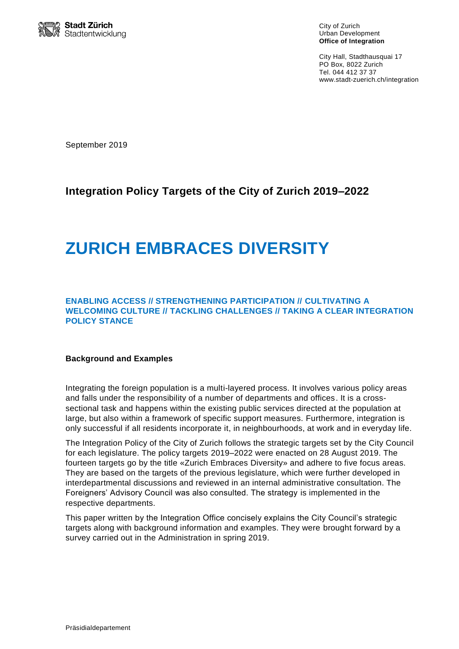

City of Zurich Urban Development **Office of Integration**

City Hall, Stadthausquai 17 PO Box, 8022 Zurich Tel. 044 412 37 37 www.stadt-zuerich.ch/integration

September 2019

# **Integration Policy Targets of the City of Zurich 2019–2022**

# **ZURICH EMBRACES DIVERSITY**

#### **ENABLING ACCESS // STRENGTHENING PARTICIPATION // CULTIVATING A WELCOMING CULTURE // TACKLING CHALLENGES // TAKING A CLEAR INTEGRATION POLICY STANCE**

#### **Background and Examples**

Integrating the foreign population is a multi-layered process. It involves various policy areas and falls under the responsibility of a number of departments and offices. It is a crosssectional task and happens within the existing public services directed at the population at large, but also within a framework of specific support measures. Furthermore, integration is only successful if all residents incorporate it, in neighbourhoods, at work and in everyday life.

The Integration Policy of the City of Zurich follows the strategic targets set by the City Council for each legislature. The policy targets 2019–2022 were enacted on 28 August 2019. The fourteen targets go by the title «Zurich Embraces Diversity» and adhere to five focus areas. They are based on the targets of the previous legislature, which were further developed in interdepartmental discussions and reviewed in an internal administrative consultation. The Foreigners' Advisory Council was also consulted. The strategy is implemented in the respective departments.

This paper written by the Integration Office concisely explains the City Council's strategic targets along with background information and examples. They were brought forward by a survey carried out in the Administration in spring 2019.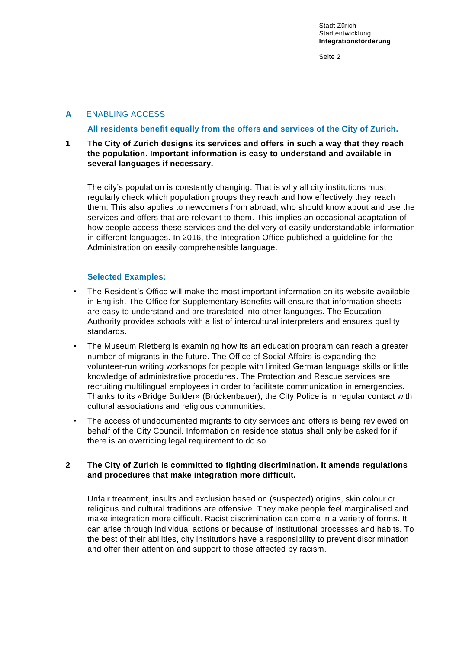# **A** ENABLING ACCESS

#### **All residents benefit equally from the offers and services of the City of Zurich.**

**1 The City of Zurich designs its services and offers in such a way that they reach the population. Important information is easy to understand and available in several languages if necessary.**

The city's population is constantly changing. That is why all city institutions must regularly check which population groups they reach and how effectively they reach them. This also applies to newcomers from abroad, who should know about and use the services and offers that are relevant to them. This implies an occasional adaptation of how people access these services and the delivery of easily understandable information in different languages. In 2016, the Integration Office published a guideline for the Administration on easily comprehensible language.

#### **Selected Examples:**

- The Resident's Office will make the most important information on its website available in English. The Office for Supplementary Benefits will ensure that information sheets are easy to understand and are translated into other languages. The Education Authority provides schools with a list of intercultural interpreters and ensures quality standards.
- The Museum Rietberg is examining how its art education program can reach a greater number of migrants in the future. The Office of Social Affairs is expanding the volunteer-run writing workshops for people with limited German language skills or little knowledge of administrative procedures. The Protection and Rescue services are recruiting multilingual employees in order to facilitate communication in emergencies. Thanks to its «Bridge Builder» (Brückenbauer), the City Police is in regular contact with cultural associations and religious communities.
- The access of undocumented migrants to city services and offers is being reviewed on behalf of the City Council. Information on residence status shall only be asked for if there is an overriding legal requirement to do so.

#### **2 The City of Zurich is committed to fighting discrimination. It amends regulations and procedures that make integration more difficult.**

Unfair treatment, insults and exclusion based on (suspected) origins, skin colour or religious and cultural traditions are offensive. They make people feel marginalised and make integration more difficult. Racist discrimination can come in a variety of forms. It can arise through individual actions or because of institutional processes and habits. To the best of their abilities, city institutions have a responsibility to prevent discrimination and offer their attention and support to those affected by racism.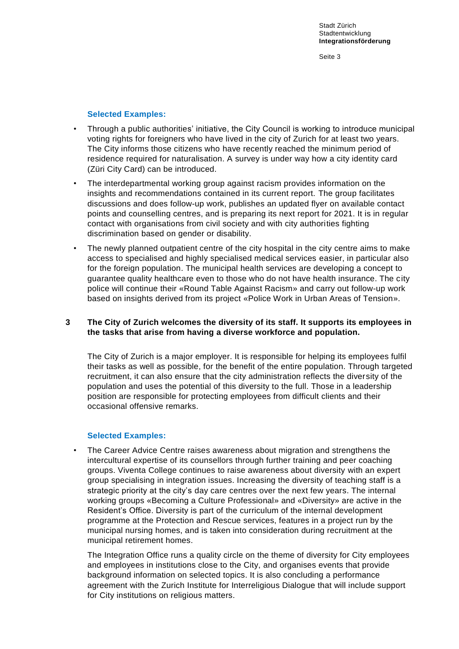#### **Selected Examples:**

- Through a public authorities' initiative, the City Council is working to introduce municipal voting rights for foreigners who have lived in the city of Zurich for at least two years. The City informs those citizens who have recently reached the minimum period of residence required for naturalisation. A survey is under way how a city identity card (Züri City Card) can be introduced.
- The interdepartmental working group against racism provides information on the insights and recommendations contained in its current report. The group facilitates discussions and does follow-up work, publishes an updated flyer on available contact points and counselling centres, and is preparing its next report for 2021. It is in regular contact with organisations from civil society and with city authorities fighting discrimination based on gender or disability.
- The newly planned outpatient centre of the city hospital in the city centre aims to make access to specialised and highly specialised medical services easier, in particular also for the foreign population. The municipal health services are developing a concept to guarantee quality healthcare even to those who do not have health insurance. The city police will continue their «Round Table Against Racism» and carry out follow-up work based on insights derived from its project «Police Work in Urban Areas of Tension».

#### **3 The City of Zurich welcomes the diversity of its staff. It supports its employees in the tasks that arise from having a diverse workforce and population.**

The City of Zurich is a major employer. It is responsible for helping its employees fulfil their tasks as well as possible, for the benefit of the entire population. Through targeted recruitment, it can also ensure that the city administration reflects the diversity of the population and uses the potential of this diversity to the full. Those in a leadership position are responsible for protecting employees from difficult clients and their occasional offensive remarks.

#### **Selected Examples:**

• The Career Advice Centre raises awareness about migration and strengthens the intercultural expertise of its counsellors through further training and peer coaching groups. Viventa College continues to raise awareness about diversity with an expert group specialising in integration issues. Increasing the diversity of teaching staff is a strategic priority at the city's day care centres over the next few years. The internal working groups «Becoming a Culture Professional» and «Diversity» are active in the Resident's Office. Diversity is part of the curriculum of the internal development programme at the Protection and Rescue services, features in a project run by the municipal nursing homes, and is taken into consideration during recruitment at the municipal retirement homes.

The Integration Office runs a quality circle on the theme of diversity for City employees and employees in institutions close to the City, and organises events that provide background information on selected topics. It is also concluding a performance agreement with the Zurich Institute for Interreligious Dialogue that will include support for City institutions on religious matters.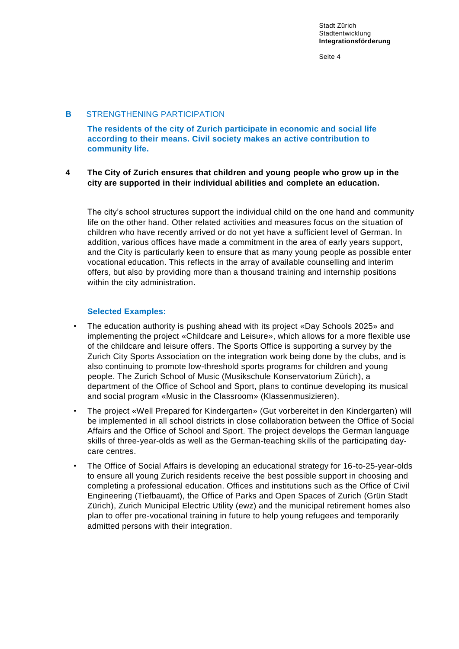# **B** STRENGTHENING PARTICIPATION

**The residents of the city of Zurich participate in economic and social life according to their means. Civil society makes an active contribution to community life.**

#### **4 The City of Zurich ensures that children and young people who grow up in the city are supported in their individual abilities and complete an education.**

The city's school structures support the individual child on the one hand and community life on the other hand. Other related activities and measures focus on the situation of children who have recently arrived or do not yet have a sufficient level of German. In addition, various offices have made a commitment in the area of early years support, and the City is particularly keen to ensure that as many young people as possible enter vocational education. This reflects in the array of available counselling and interim offers, but also by providing more than a thousand training and internship positions within the city administration.

# **Selected Examples:**

- The education authority is pushing ahead with its project «Day Schools 2025» and implementing the project «Childcare and Leisure», which allows for a more flexible use of the childcare and leisure offers. The Sports Office is supporting a survey by the Zurich City Sports Association on the integration work being done by the clubs, and is also continuing to promote low-threshold sports programs for children and young people. The Zurich School of Music (Musikschule Konservatorium Zürich), a department of the Office of School and Sport, plans to continue developing its musical and social program «Music in the Classroom» (Klassenmusizieren).
- The project «Well Prepared for Kindergarten» (Gut vorbereitet in den Kindergarten) will be implemented in all school districts in close collaboration between the Office of Social Affairs and the Office of School and Sport. The project develops the German language skills of three-year-olds as well as the German-teaching skills of the participating daycare centres.
- The Office of Social Affairs is developing an educational strategy for 16-to-25-year-olds to ensure all young Zurich residents receive the best possible support in choosing and completing a professional education. Offices and institutions such as the Office of Civil Engineering (Tiefbauamt), the Office of Parks and Open Spaces of Zurich (Grün Stadt Zürich), Zurich Municipal Electric Utility (ewz) and the municipal retirement homes also plan to offer pre-vocational training in future to help young refugees and temporarily admitted persons with their integration.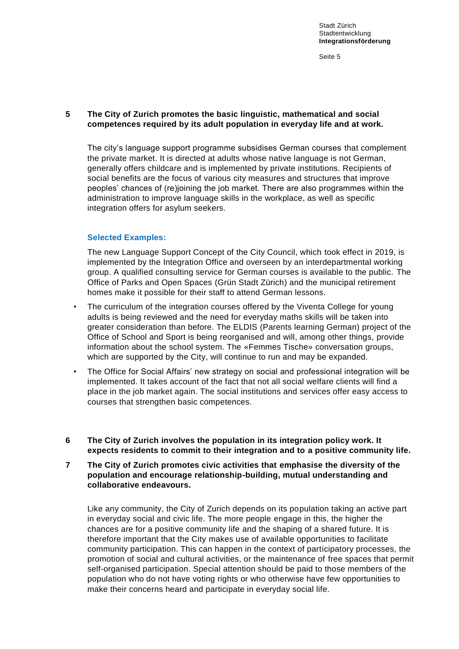# **5 The City of Zurich promotes the basic linguistic, mathematical and social competences required by its adult population in everyday life and at work.**

The city's language support programme subsidises German courses that complement the private market. It is directed at adults whose native language is not German, generally offers childcare and is implemented by private institutions. Recipients of social benefits are the focus of various city measures and structures that improve peoples' chances of (re)joining the job market. There are also programmes within the administration to improve language skills in the workplace, as well as specific integration offers for asylum seekers.

#### **Selected Examples:**

The new Language Support Concept of the City Council, which took effect in 2019, is implemented by the Integration Office and overseen by an interdepartmental working group. A qualified consulting service for German courses is available to the public. The Office of Parks and Open Spaces (Grün Stadt Zürich) and the municipal retirement homes make it possible for their staff to attend German lessons.

- The curriculum of the integration courses offered by the Viventa College for young adults is being reviewed and the need for everyday maths skills will be taken into greater consideration than before. The ELDIS (Parents learning German) project of the Office of School and Sport is being reorganised and will, among other things, provide information about the school system. The «Femmes Tische» conversation groups, which are supported by the City, will continue to run and may be expanded.
- The Office for Social Affairs' new strategy on social and professional integration will be implemented. It takes account of the fact that not all social welfare clients will find a place in the job market again. The social institutions and services offer easy access to courses that strengthen basic competences.
- **6 The City of Zurich involves the population in its integration policy work. It expects residents to commit to their integration and to a positive community life.**
- **7 The City of Zurich promotes civic activities that emphasise the diversity of the population and encourage relationship-building, mutual understanding and collaborative endeavours.**

Like any community, the City of Zurich depends on its population taking an active part in everyday social and civic life. The more people engage in this, the higher the chances are for a positive community life and the shaping of a shared future. It is therefore important that the City makes use of available opportunities to facilitate community participation. This can happen in the context of participatory processes, the promotion of social and cultural activities, or the maintenance of free spaces that permit self-organised participation. Special attention should be paid to those members of the population who do not have voting rights or who otherwise have few opportunities to make their concerns heard and participate in everyday social life.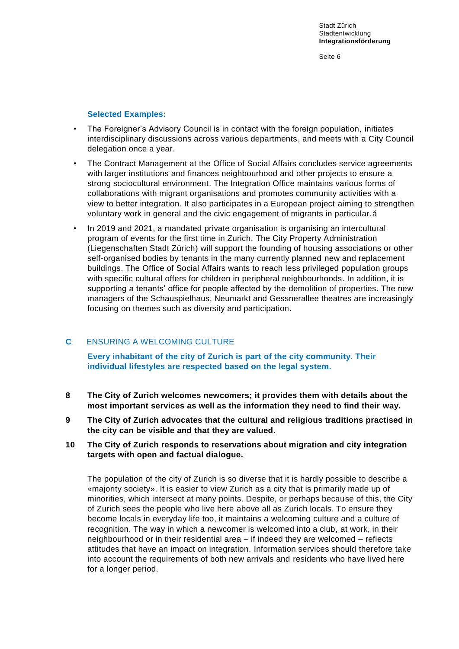#### **Selected Examples:**

- The Foreigner's Advisory Council is in contact with the foreign population, initiates interdisciplinary discussions across various departments, and meets with a City Council delegation once a year.
- The Contract Management at the Office of Social Affairs concludes service agreements with larger institutions and finances neighbourhood and other projects to ensure a strong sociocultural environment. The Integration Office maintains various forms of collaborations with migrant organisations and promotes community activities with a view to better integration. It also participates in a European project aiming to strengthen voluntary work in general and the civic engagement of migrants in particular.å
- In 2019 and 2021, a mandated private organisation is organising an intercultural program of events for the first time in Zurich. The City Property Administration (Liegenschaften Stadt Zürich) will support the founding of housing associations or other self-organised bodies by tenants in the many currently planned new and replacement buildings. The Office of Social Affairs wants to reach less privileged population groups with specific cultural offers for children in peripheral neighbourhoods. In addition, it is supporting a tenants' office for people affected by the demolition of properties. The new managers of the Schauspielhaus, Neumarkt and Gessnerallee theatres are increasingly focusing on themes such as diversity and participation.

# **C** ENSURING A WELCOMING CULTURE

**Every inhabitant of the city of Zurich is part of the city community. Their individual lifestyles are respected based on the legal system.**

- **8 The City of Zurich welcomes newcomers; it provides them with details about the most important services as well as the information they need to find their way.**
- **9 The City of Zurich advocates that the cultural and religious traditions practised in the city can be visible and that they are valued.**
- **10 The City of Zurich responds to reservations about migration and city integration targets with open and factual dialogue.**

The population of the city of Zurich is so diverse that it is hardly possible to describe a «majority society». It is easier to view Zurich as a city that is primarily made up of minorities, which intersect at many points. Despite, or perhaps because of this, the City of Zurich sees the people who live here above all as Zurich locals. To ensure they become locals in everyday life too, it maintains a welcoming culture and a culture of recognition. The way in which a newcomer is welcomed into a club, at work, in their neighbourhood or in their residential area – if indeed they are welcomed – reflects attitudes that have an impact on integration. Information services should therefore take into account the requirements of both new arrivals and residents who have lived here for a longer period.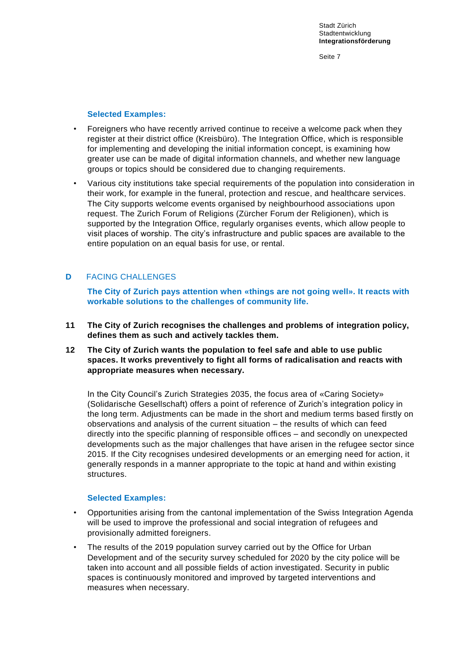#### **Selected Examples:**

- Foreigners who have recently arrived continue to receive a welcome pack when they register at their district office (Kreisbüro). The Integration Office, which is responsible for implementing and developing the initial information concept, is examining how greater use can be made of digital information channels, and whether new language groups or topics should be considered due to changing requirements.
- Various city institutions take special requirements of the population into consideration in their work, for example in the funeral, protection and rescue, and healthcare services. The City supports welcome events organised by neighbourhood associations upon request. The Zurich Forum of Religions (Zürcher Forum der Religionen), which is supported by the Integration Office, regularly organises events, which allow people to visit places of worship. The city's infrastructure and public spaces are available to the entire population on an equal basis for use, or rental.

# **D** FACING CHALLENGES

**The City of Zurich pays attention when «things are not going well». It reacts with workable solutions to the challenges of community life.**

- **11 The City of Zurich recognises the challenges and problems of integration policy, defines them as such and actively tackles them.**
- **12 The City of Zurich wants the population to feel safe and able to use public spaces. It works preventively to fight all forms of radicalisation and reacts with appropriate measures when necessary.**

In the City Council's Zurich Strategies 2035, the focus area of «Caring Society» (Solidarische Gesellschaft) offers a point of reference of Zurich's integration policy in the long term. Adjustments can be made in the short and medium terms based firstly on observations and analysis of the current situation – the results of which can feed directly into the specific planning of responsible offices – and secondly on unexpected developments such as the major challenges that have arisen in the refugee sector since 2015. If the City recognises undesired developments or an emerging need for action, it generally responds in a manner appropriate to the topic at hand and within existing structures.

#### **Selected Examples:**

- Opportunities arising from the cantonal implementation of the Swiss Integration Agenda will be used to improve the professional and social integration of refugees and provisionally admitted foreigners.
- The results of the 2019 population survey carried out by the Office for Urban Development and of the security survey scheduled for 2020 by the city police will be taken into account and all possible fields of action investigated. Security in public spaces is continuously monitored and improved by targeted interventions and measures when necessary.